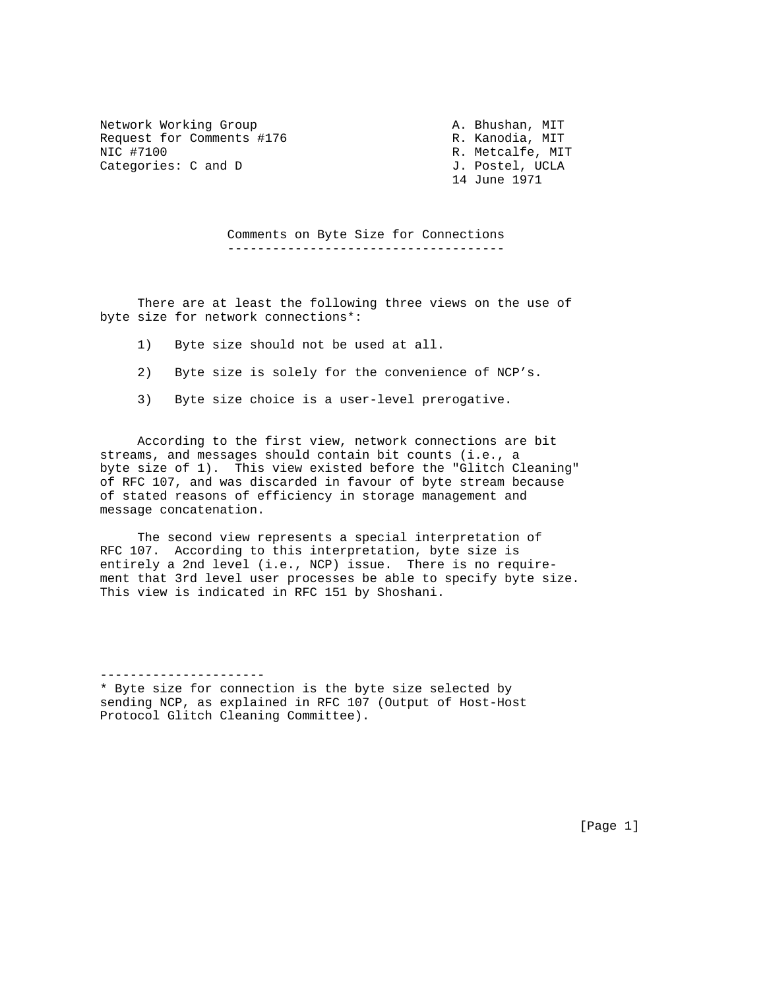Network Working Group A. Bhushan, MIT Request for Comments #176 R. Kanodia, MIT NIC #7100 R. Metcalfe, MIT Categories: C and D J. Postel, UCLA

----------------------

14 June 1971

 Comments on Byte Size for Connections -------------------------------------

 There are at least the following three views on the use of byte size for network connections\*:

- 1) Byte size should not be used at all.
- 2) Byte size is solely for the convenience of NCP's.
- 3) Byte size choice is a user-level prerogative.

 According to the first view, network connections are bit streams, and messages should contain bit counts (i.e., a byte size of 1). This view existed before the "Glitch Cleaning" of RFC 107, and was discarded in favour of byte stream because of stated reasons of efficiency in storage management and message concatenation.

 The second view represents a special interpretation of RFC 107. According to this interpretation, byte size is entirely a 2nd level (i.e., NCP) issue. There is no requirement that 3rd level user processes be able to specify byte size. This view is indicated in RFC 151 by Shoshani.

\* Byte size for connection is the byte size selected by sending NCP, as explained in RFC 107 (Output of Host-Host Protocol Glitch Cleaning Committee).

[Page 1]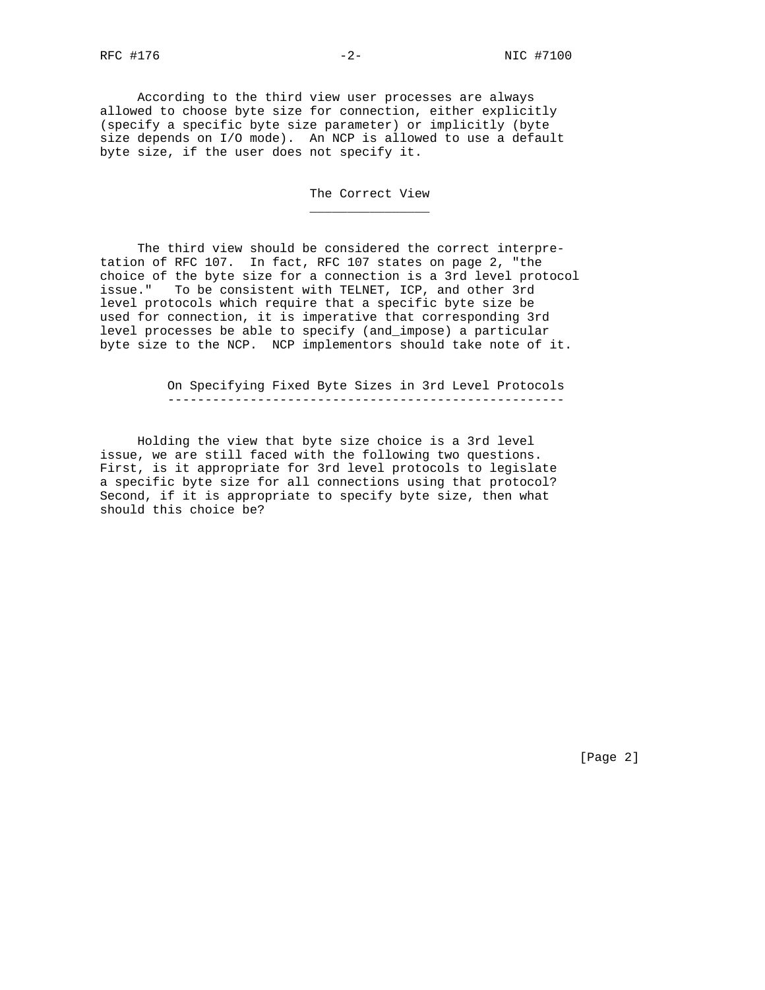According to the third view user processes are always allowed to choose byte size for connection, either explicitly (specify a specific byte size parameter) or implicitly (byte size depends on I/O mode). An NCP is allowed to use a default

byte size, if the user does not specify it.

 $\frac{1}{\sqrt{2}}$  ,  $\frac{1}{\sqrt{2}}$  ,  $\frac{1}{\sqrt{2}}$  ,  $\frac{1}{\sqrt{2}}$  ,  $\frac{1}{\sqrt{2}}$  ,  $\frac{1}{\sqrt{2}}$  ,  $\frac{1}{\sqrt{2}}$  ,  $\frac{1}{\sqrt{2}}$  ,  $\frac{1}{\sqrt{2}}$  ,  $\frac{1}{\sqrt{2}}$  ,  $\frac{1}{\sqrt{2}}$  ,  $\frac{1}{\sqrt{2}}$  ,  $\frac{1}{\sqrt{2}}$  ,  $\frac{1}{\sqrt{2}}$  ,  $\frac{1}{\sqrt{2}}$ 

The Correct View

 The third view should be considered the correct interpretation of RFC 107. In fact, RFC 107 states on page 2, "the choice of the byte size for a connection is a 3rd level protocol issue." To be consistent with TELNET, ICP, and other 3rd level protocols which require that a specific byte size be used for connection, it is imperative that corresponding 3rd level processes be able to specify (and\_impose) a particular byte size to the NCP. NCP implementors should take note of it.

> On Specifying Fixed Byte Sizes in 3rd Level Protocols -----------------------------------------------------

 Holding the view that byte size choice is a 3rd level issue, we are still faced with the following two questions. First, is it appropriate for 3rd level protocols to legislate a specific byte size for all connections using that protocol? Second, if it is appropriate to specify byte size, then what should this choice be?

[Page 2]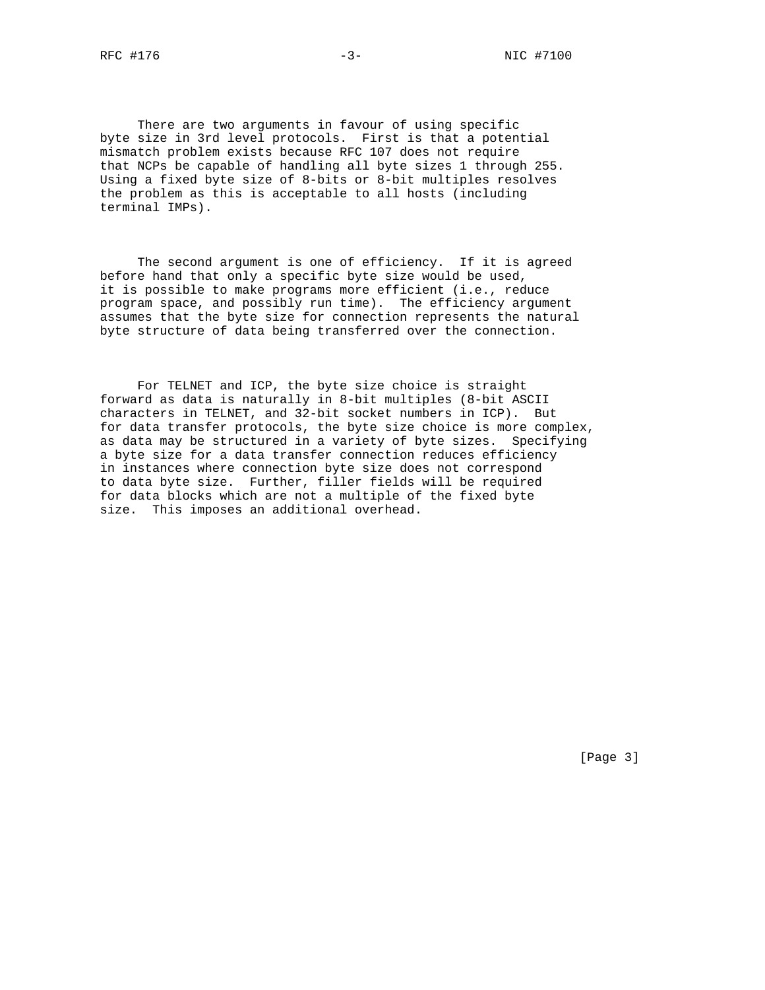There are two arguments in favour of using specific byte size in 3rd level protocols. First is that a potential mismatch problem exists because RFC 107 does not require that NCPs be capable of handling all byte sizes 1 through 255. Using a fixed byte size of 8-bits or 8-bit multiples resolves the problem as this is acceptable to all hosts (including terminal IMPs).

 The second argument is one of efficiency. If it is agreed before hand that only a specific byte size would be used, it is possible to make programs more efficient (i.e., reduce program space, and possibly run time). The efficiency argument assumes that the byte size for connection represents the natural byte structure of data being transferred over the connection.

 For TELNET and ICP, the byte size choice is straight forward as data is naturally in 8-bit multiples (8-bit ASCII characters in TELNET, and 32-bit socket numbers in ICP). But for data transfer protocols, the byte size choice is more complex, as data may be structured in a variety of byte sizes. Specifying a byte size for a data transfer connection reduces efficiency in instances where connection byte size does not correspond to data byte size. Further, filler fields will be required for data blocks which are not a multiple of the fixed byte size. This imposes an additional overhead.

[Page 3]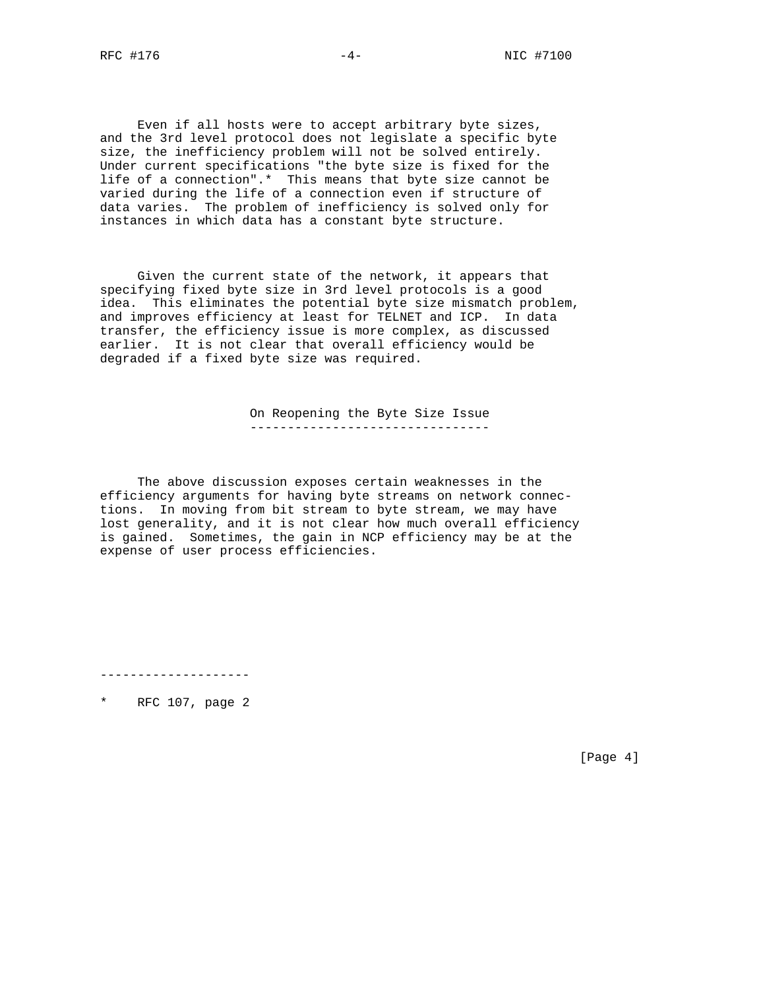Even if all hosts were to accept arbitrary byte sizes, and the 3rd level protocol does not legislate a specific byte size, the inefficiency problem will not be solved entirely. Under current specifications "the byte size is fixed for the life of a connection".\* This means that byte size cannot be varied during the life of a connection even if structure of data varies. The problem of inefficiency is solved only for instances in which data has a constant byte structure.

 Given the current state of the network, it appears that specifying fixed byte size in 3rd level protocols is a good idea. This eliminates the potential byte size mismatch problem, and improves efficiency at least for TELNET and ICP. In data transfer, the efficiency issue is more complex, as discussed earlier. It is not clear that overall efficiency would be degraded if a fixed byte size was required.

> On Reopening the Byte Size Issue --------------------------------

 The above discussion exposes certain weaknesses in the efficiency arguments for having byte streams on network connections. In moving from bit stream to byte stream, we may have lost generality, and it is not clear how much overall efficiency is gained. Sometimes, the gain in NCP efficiency may be at the expense of user process efficiencies.

--------------------

\* RFC 107, page 2

[Page 4]